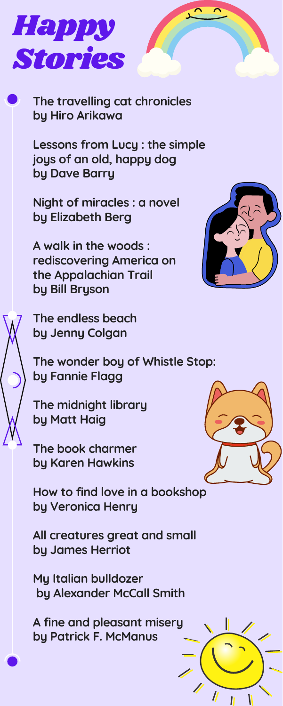**The travelling cat chronicles by Hiro Arikawa**

**Lessons from Lucy : the simple joys of an old, happy dog by Dave Barry**

**Night of miracles : a novel by Elizabeth Berg**

**A walk in the woods : rediscovering America on the Appalachian Trail by Bill Bryson**



**The endless beach by Jenny Colgan**

**The wonder boy of Whistle Stop: by Fannie Flagg**

**The midnight library by Matt Haig**





**The book charmer by Karen Hawkins**

**How to find love in a bookshop by Veronica Henry**

**All creatures great and small by James Herriot**

**My Italian bulldozer by Alexander McCall Smith**

**A fine and pleasant misery by Patrick F. McManus**